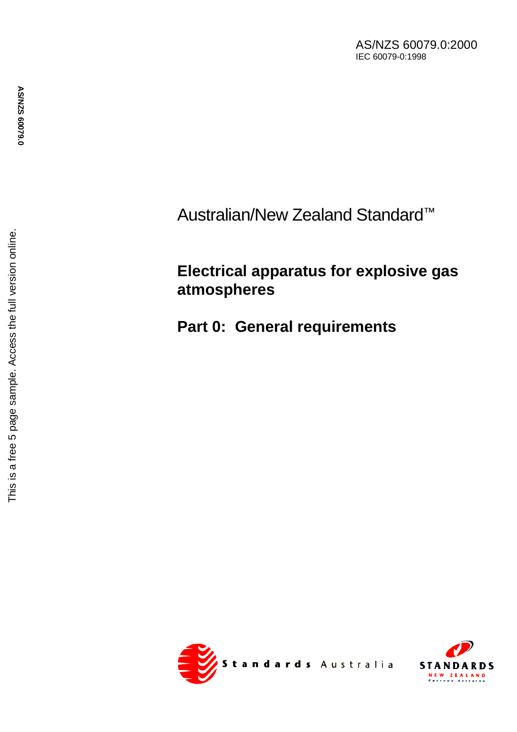AS/NZS 60079.0:2000 IEC 60079-0:1998

Australian/New Zealand Standard ™

# **Electrical apparatus for explosive gas atmospheres**

**Part 0: General requirements**



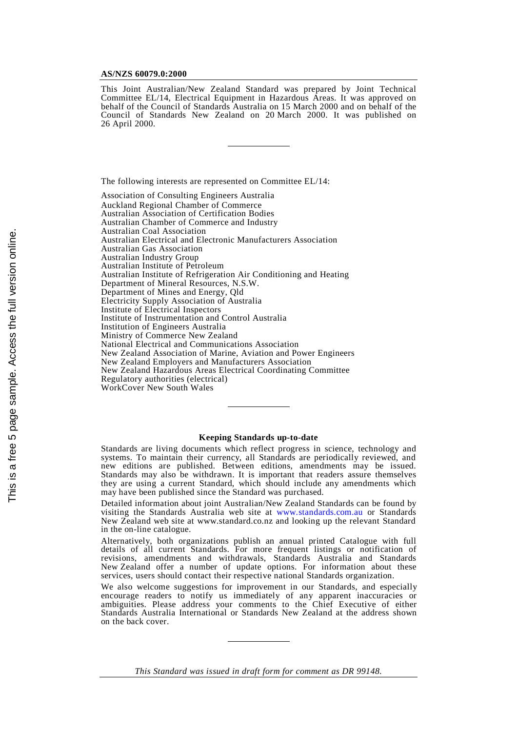#### **AS/NZS 60079.0:2000**

This Joint Australian/New Zealand Standard was prepared by Joint Technical Committee EL/14, Electrical Equipment in Hazardous Areas. It was approved on behalf of the Council of Standards Australia on 15 March 2000 and on behalf of the Council of Standards New Zealand on 20 March 2000. It was published on 26 April 2000.

The following interests are represented on Committee EL/14:

Association of Consulting Engineers Australia Auckland Regional Chamber of Commerce Australian Association of Certification Bodies Australian Chamber of Commerce and Industry Australian Coal Association Australian Electrical and Electronic Manufacturers Association Australian Gas Association Australian Industry Group Australian Institute of Petroleum Australian Institute of Refrigeration Air Conditioning and Heating Department of Mineral Resources, N.S.W. Department of Mines and Energy, Qld Electricity Supply Association of Australia Institute of Electrical Inspectors Institute of Instrumentation and Control Australia Institution of Engineers Australia Ministry of Commerce New Zealand National Electrical and Communications Association New Zealand Association of Marine, Aviation and Power Engineers New Zealand Employers and Manufacturers Association New Zealand Hazardous Areas Electrical Coordinating Committee Regulatory authorities (electrical) WorkCover New South Wales

#### **Keeping Standards up-to-date**

Standards are living documents which reflect progress in science, technology and systems. To maintain their currency, all Standards are periodically reviewed, and new editions are published. Between editions, amendments may be issued. Standards may also be withdrawn. It is important that readers assure themselves they are using a current Standard, which should include any amendments which may have been published since the Standard was purchased.

Detailed information about joint Australian/New Zealand Standards can be found by visiting the Standards Australia web site at [www.standards.com.au](http://www.standards.com.au) or Standards New Zealand web site at www.standard.co.nz and looking up the relevant Standard in the on-line catalogue.

Alternatively, both organizations publish an annual printed Catalogue with full details of all current Standards. For more frequent listings or notification of revisions, amendments and withdrawals, Standards Australia and Standards New Zealand offer a number of update options. For information about these services, users should contact their respective national Standards organization.

We also welcome suggestions for improvement in our Standards, and especially encourage readers to notify us immediately of any apparent inaccuracies or ambiguities. Please address your comments to the Chief Executive of either Standards Australia International or Standards New Zealand at the address shown on the back cover.

*This Standard was issued in draft form for comment as DR 99148*.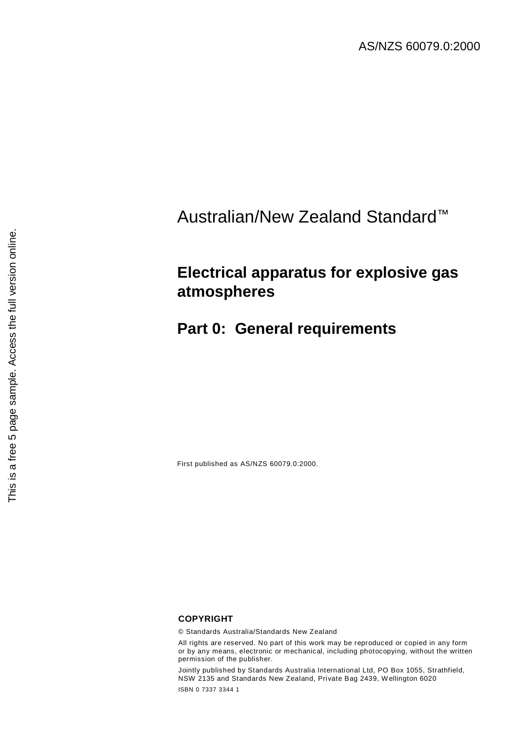# Australian/New Zealand Standard™

## **Electrical apparatus for explosive gas atmospheres**

## **Part 0: General requirements**

First published as AS/NZS 60079.0:2000.

### **COPYRIGHT**

© Standards Australia/Standards New Zealand

All rights are reserved. No part of this work may be reproduced or copied in any form or by any means, electronic or mechanical, including photocopying, without the written permission of the publisher.

Jointly published by Standards Australia International Ltd, PO Box 1055, Strathfield, NSW 2135 and Standards New Zealand, Private Bag 2439, Wellington 6020 ISBN 0 7337 3344 1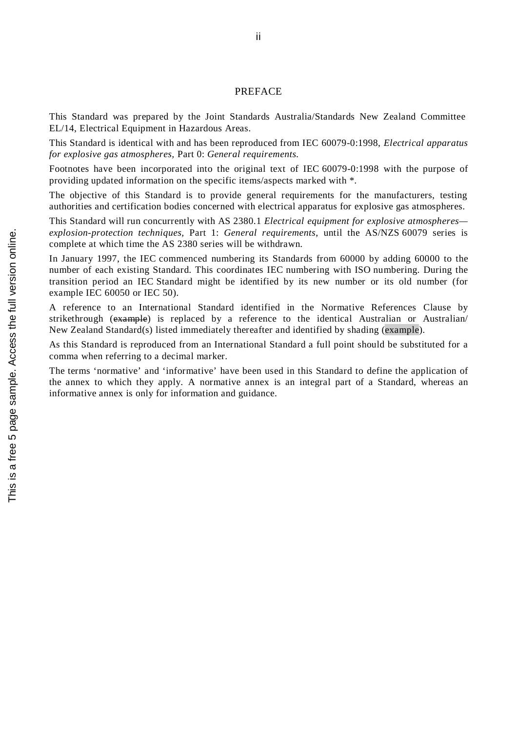### PREFACE

This Standard was prepared by the Joint Standards Australia/Standards New Zealand Committee EL/14, Electrical Equipment in Hazardous Areas.

This Standard is identical with and has been reproduced from IEC 60079-0:1998, *Electrical apparatus for explosive gas atmospheres,* Part 0: *General requirements.*

Footnotes have been incorporated into the original text of IEC 60079-0:1998 with the purpose of providing updated information on the specific items/aspects marked with \*.

The objective of this Standard is to provide general requirements for the manufacturers, testing authorities and certification bodies concerned with electrical apparatus for explosive gas atmospheres.

This Standard will run concurrently with AS 2380.1 *Electrical equipment for explosive atmospheres explosion-protection techniques,* Part 1: *General requirements*, until the AS/NZS 60079 series is complete at which time the AS 2380 series will be withdrawn.

In January 1997, the IEC commenced numbering its Standards from 60000 by adding 60000 to the number of each existing Standard. This coordinates IEC numbering with ISO numbering. During the transition period an IEC Standard might be identified by its new number or its old number (for example IEC 60050 or IEC 50).

A reference to an International Standard identified in the Normative References Clause by strikethrough (example) is replaced by a reference to the identical Australian or Australian New Zealand Standard(s) listed immediately thereafter and identified by shading (example).

As this Standard is reproduced from an International Standard a full point should be substituted for a comma when referring to a decimal marker.

The terms 'normative' and 'informative' have been used in this Standard to define the application of the annex to which they apply. A normative annex is an integral part of a Standard, whereas an informative annex is only for information and guidance.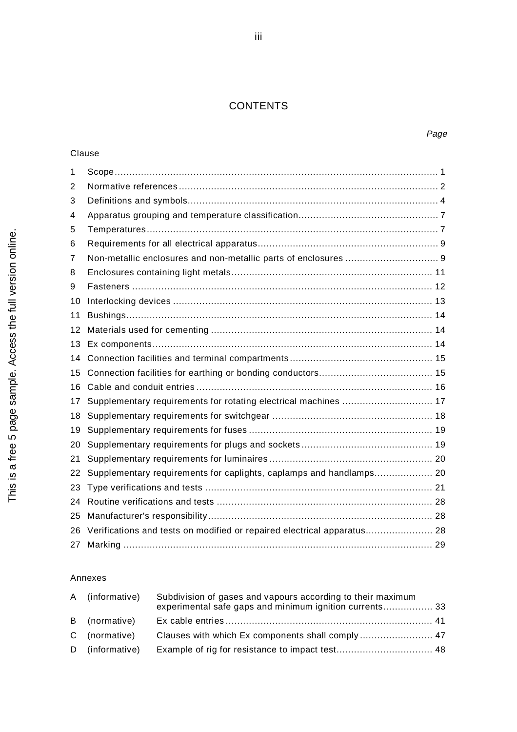## **CONTENTS**

### Clause

| 1              |                                                                         |  |  |
|----------------|-------------------------------------------------------------------------|--|--|
| 2              |                                                                         |  |  |
| 3              |                                                                         |  |  |
| 4              |                                                                         |  |  |
| 5              |                                                                         |  |  |
| 6              |                                                                         |  |  |
| $\overline{7}$ |                                                                         |  |  |
| 8              |                                                                         |  |  |
| 9              |                                                                         |  |  |
| 10             |                                                                         |  |  |
| 11             |                                                                         |  |  |
| 12             |                                                                         |  |  |
| 13             |                                                                         |  |  |
| 14             |                                                                         |  |  |
| 15             |                                                                         |  |  |
| 16             |                                                                         |  |  |
| 17             | Supplementary requirements for rotating electrical machines  17         |  |  |
| 18             |                                                                         |  |  |
| 19             |                                                                         |  |  |
| 20             |                                                                         |  |  |
| 21             |                                                                         |  |  |
| 22             | Supplementary requirements for caplights, caplamps and handlamps 20     |  |  |
| 23             |                                                                         |  |  |
| 24             |                                                                         |  |  |
| 25             |                                                                         |  |  |
| 26             | Verifications and tests on modified or repaired electrical apparatus 28 |  |  |
| 27             |                                                                         |  |  |

### Annexes

| A (informative) | Subdivision of gases and vapours according to their maximum<br>experimental safe gaps and minimum ignition currents 33 |  |
|-----------------|------------------------------------------------------------------------------------------------------------------------|--|
| B (normative)   |                                                                                                                        |  |
| C (normative)   |                                                                                                                        |  |
| D (informative) |                                                                                                                        |  |

### Page